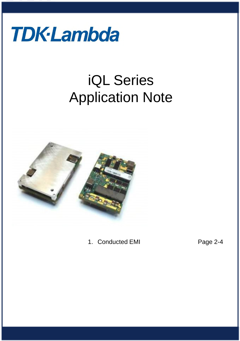

# iQL Series Application Note



1. Conducted EMI Page 2-4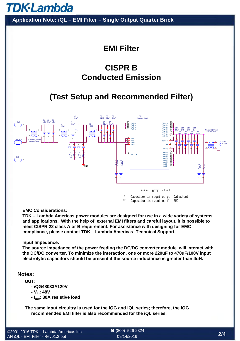**TDK-Lambda** 

**Application Note: iQL – EMI Filter – Single Output Quarter Brick**

# **EMI Filter**

# **CISPR B Conducted Emission**

# **(Test Setup and Recommended Filter)**



\* - Capacitor is required per Datasheet \*\* - Capacitor is required for EMI

**EMC Considerations:** 

**TDK – Lambda Americas power modules are designed for use in a wide variety of systems and applications. With the help of external EMI filters and careful layout, it is possible to meet CISPR 22 class A or B requirement. For assistance with designing for EMC compliance, please contact TDK – Lambda Americas Technical Support.**

#### **Input Impedance:**

**The source impedance of the power feeding the DC/DC converter module will interact with the DC/DC converter. To minimize the interaction, one or more 220uF to 470uF/100V input electrolytic capacitors should be present if the source inductance is greater than 4uH.** 

#### **Notes:**

**UUT:**

- **iQG48033A120V**
- **Vin: 48V**
- **Iout: 30A resistive load**

**The same input circuitry is used for the iQG and iQL series; therefore, the iQG recommended EMI filter is also recommended for the iQL series.**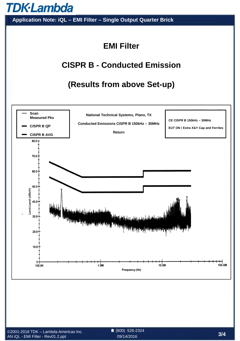

**Application Note: iQL – EMI Filter – Single Output Quarter Brick**

# **EMI Filter**

## **CISPR B - Conducted Emission**

## **(Results from above Set-up)**